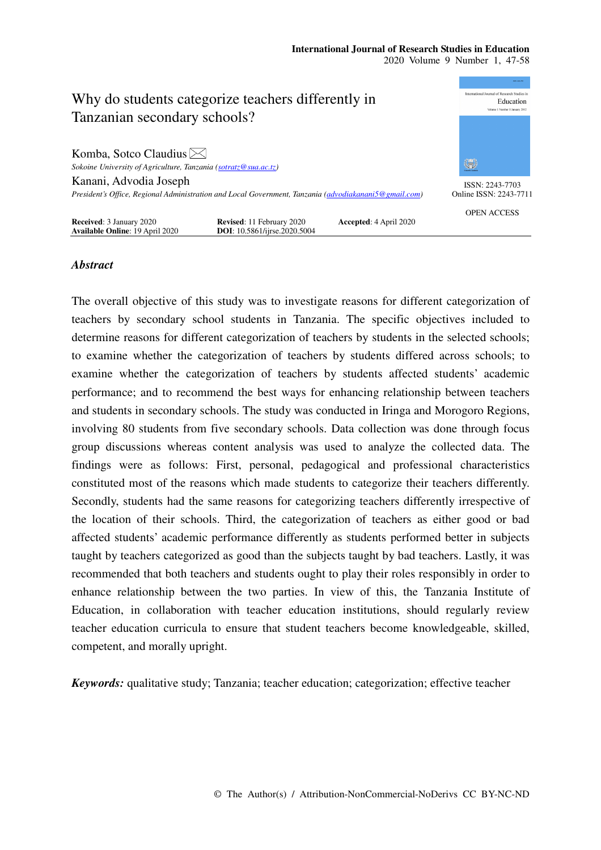#### **International Journal of Research Studies in Education**  2020 Volume 9 Number 1, 47-58



# *Abstract*

The overall objective of this study was to investigate reasons for different categorization of teachers by secondary school students in Tanzania. The specific objectives included to determine reasons for different categorization of teachers by students in the selected schools; to examine whether the categorization of teachers by students differed across schools; to examine whether the categorization of teachers by students affected students' academic performance; and to recommend the best ways for enhancing relationship between teachers and students in secondary schools. The study was conducted in Iringa and Morogoro Regions, involving 80 students from five secondary schools. Data collection was done through focus group discussions whereas content analysis was used to analyze the collected data. The findings were as follows: First, personal, pedagogical and professional characteristics constituted most of the reasons which made students to categorize their teachers differently. Secondly, students had the same reasons for categorizing teachers differently irrespective of the location of their schools. Third, the categorization of teachers as either good or bad affected students' academic performance differently as students performed better in subjects taught by teachers categorized as good than the subjects taught by bad teachers. Lastly, it was recommended that both teachers and students ought to play their roles responsibly in order to enhance relationship between the two parties. In view of this, the Tanzania Institute of Education, in collaboration with teacher education institutions, should regularly review teacher education curricula to ensure that student teachers become knowledgeable, skilled, competent, and morally upright.

*Keywords:* qualitative study; Tanzania; teacher education; categorization; effective teacher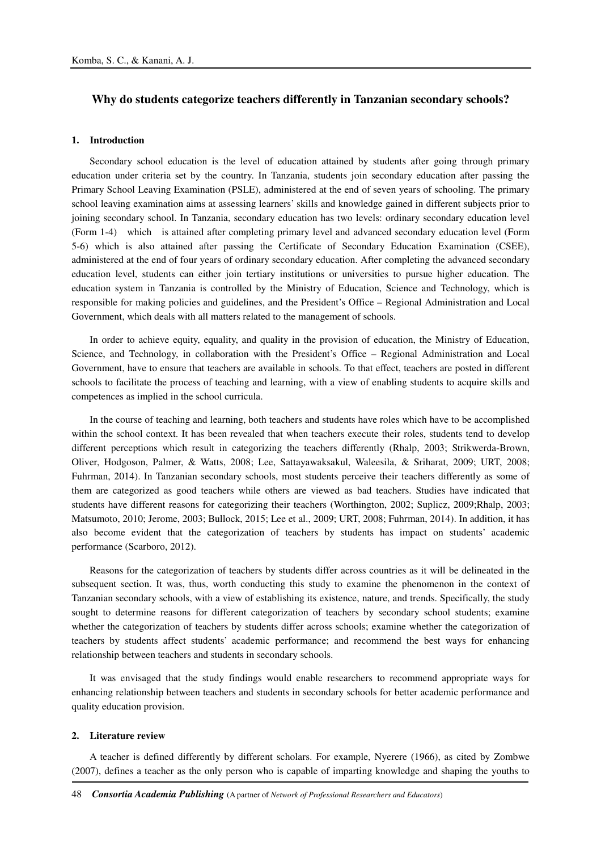# **Why do students categorize teachers differently in Tanzanian secondary schools?**

## **1. Introduction**

Secondary school education is the level of education attained by students after going through primary education under criteria set by the country. In Tanzania, students join secondary education after passing the Primary School Leaving Examination (PSLE), administered at the end of seven years of schooling. The primary school leaving examination aims at assessing learners' skills and knowledge gained in different subjects prior to joining secondary school. In Tanzania, secondary education has two levels: ordinary secondary education level (Form 1-4) which is attained after completing primary level and advanced secondary education level (Form 5-6) which is also attained after passing the Certificate of Secondary Education Examination (CSEE), administered at the end of four years of ordinary secondary education. After completing the advanced secondary education level, students can either join tertiary institutions or universities to pursue higher education. The education system in Tanzania is controlled by the Ministry of Education, Science and Technology, which is responsible for making policies and guidelines, and the President's Office – Regional Administration and Local Government, which deals with all matters related to the management of schools.

In order to achieve equity, equality, and quality in the provision of education, the Ministry of Education, Science, and Technology, in collaboration with the President's Office – Regional Administration and Local Government, have to ensure that teachers are available in schools. To that effect, teachers are posted in different schools to facilitate the process of teaching and learning, with a view of enabling students to acquire skills and competences as implied in the school curricula.

In the course of teaching and learning, both teachers and students have roles which have to be accomplished within the school context. It has been revealed that when teachers execute their roles, students tend to develop different perceptions which result in categorizing the teachers differently (Rhalp, 2003; Strikwerda-Brown, Oliver, Hodgoson, Palmer, & Watts, 2008; Lee, Sattayawaksakul, Waleesila, & Sriharat, 2009; URT, 2008; Fuhrman, 2014). In Tanzanian secondary schools, most students perceive their teachers differently as some of them are categorized as good teachers while others are viewed as bad teachers. Studies have indicated that students have different reasons for categorizing their teachers (Worthington, 2002; Suplicz, 2009;Rhalp, 2003; Matsumoto, 2010; Jerome, 2003; Bullock, 2015; Lee et al., 2009; URT, 2008; Fuhrman, 2014). In addition, it has also become evident that the categorization of teachers by students has impact on students' academic performance (Scarboro, 2012).

Reasons for the categorization of teachers by students differ across countries as it will be delineated in the subsequent section. It was, thus, worth conducting this study to examine the phenomenon in the context of Tanzanian secondary schools, with a view of establishing its existence, nature, and trends. Specifically, the study sought to determine reasons for different categorization of teachers by secondary school students; examine whether the categorization of teachers by students differ across schools; examine whether the categorization of teachers by students affect students' academic performance; and recommend the best ways for enhancing relationship between teachers and students in secondary schools.

It was envisaged that the study findings would enable researchers to recommend appropriate ways for enhancing relationship between teachers and students in secondary schools for better academic performance and quality education provision.

#### **2. Literature review**

A teacher is defined differently by different scholars. For example, Nyerere (1966), as cited by Zombwe (2007), defines a teacher as the only person who is capable of imparting knowledge and shaping the youths to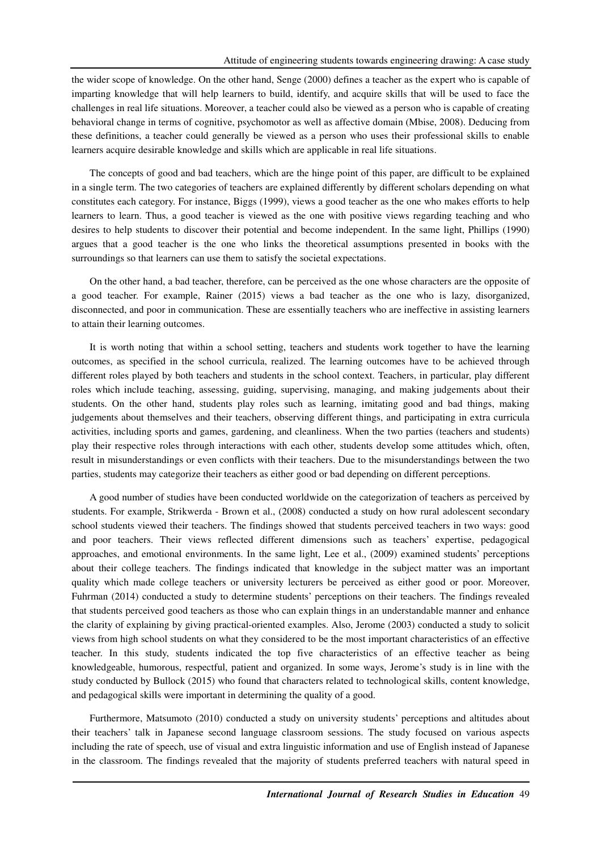the wider scope of knowledge. On the other hand, Senge (2000) defines a teacher as the expert who is capable of imparting knowledge that will help learners to build, identify, and acquire skills that will be used to face the challenges in real life situations. Moreover, a teacher could also be viewed as a person who is capable of creating behavioral change in terms of cognitive, psychomotor as well as affective domain (Mbise, 2008). Deducing from these definitions, a teacher could generally be viewed as a person who uses their professional skills to enable learners acquire desirable knowledge and skills which are applicable in real life situations.

The concepts of good and bad teachers, which are the hinge point of this paper, are difficult to be explained in a single term. The two categories of teachers are explained differently by different scholars depending on what constitutes each category. For instance, Biggs (1999), views a good teacher as the one who makes efforts to help learners to learn. Thus, a good teacher is viewed as the one with positive views regarding teaching and who desires to help students to discover their potential and become independent. In the same light, Phillips (1990) argues that a good teacher is the one who links the theoretical assumptions presented in books with the surroundings so that learners can use them to satisfy the societal expectations.

On the other hand, a bad teacher, therefore, can be perceived as the one whose characters are the opposite of a good teacher. For example, Rainer (2015) views a bad teacher as the one who is lazy, disorganized, disconnected, and poor in communication. These are essentially teachers who are ineffective in assisting learners to attain their learning outcomes.

It is worth noting that within a school setting, teachers and students work together to have the learning outcomes, as specified in the school curricula, realized. The learning outcomes have to be achieved through different roles played by both teachers and students in the school context. Teachers, in particular, play different roles which include teaching, assessing, guiding, supervising, managing, and making judgements about their students. On the other hand, students play roles such as learning, imitating good and bad things, making judgements about themselves and their teachers, observing different things, and participating in extra curricula activities, including sports and games, gardening, and cleanliness. When the two parties (teachers and students) play their respective roles through interactions with each other, students develop some attitudes which, often, result in misunderstandings or even conflicts with their teachers. Due to the misunderstandings between the two parties, students may categorize their teachers as either good or bad depending on different perceptions.

A good number of studies have been conducted worldwide on the categorization of teachers as perceived by students. For example, Strikwerda - Brown et al., (2008) conducted a study on how rural adolescent secondary school students viewed their teachers. The findings showed that students perceived teachers in two ways: good and poor teachers. Their views reflected different dimensions such as teachers' expertise, pedagogical approaches, and emotional environments. In the same light, Lee et al., (2009) examined students' perceptions about their college teachers. The findings indicated that knowledge in the subject matter was an important quality which made college teachers or university lecturers be perceived as either good or poor. Moreover, Fuhrman (2014) conducted a study to determine students' perceptions on their teachers. The findings revealed that students perceived good teachers as those who can explain things in an understandable manner and enhance the clarity of explaining by giving practical-oriented examples. Also, Jerome (2003) conducted a study to solicit views from high school students on what they considered to be the most important characteristics of an effective teacher. In this study, students indicated the top five characteristics of an effective teacher as being knowledgeable, humorous, respectful, patient and organized. In some ways, Jerome's study is in line with the study conducted by Bullock (2015) who found that characters related to technological skills, content knowledge, and pedagogical skills were important in determining the quality of a good.

Furthermore, Matsumoto (2010) conducted a study on university students' perceptions and altitudes about their teachers' talk in Japanese second language classroom sessions. The study focused on various aspects including the rate of speech, use of visual and extra linguistic information and use of English instead of Japanese in the classroom. The findings revealed that the majority of students preferred teachers with natural speed in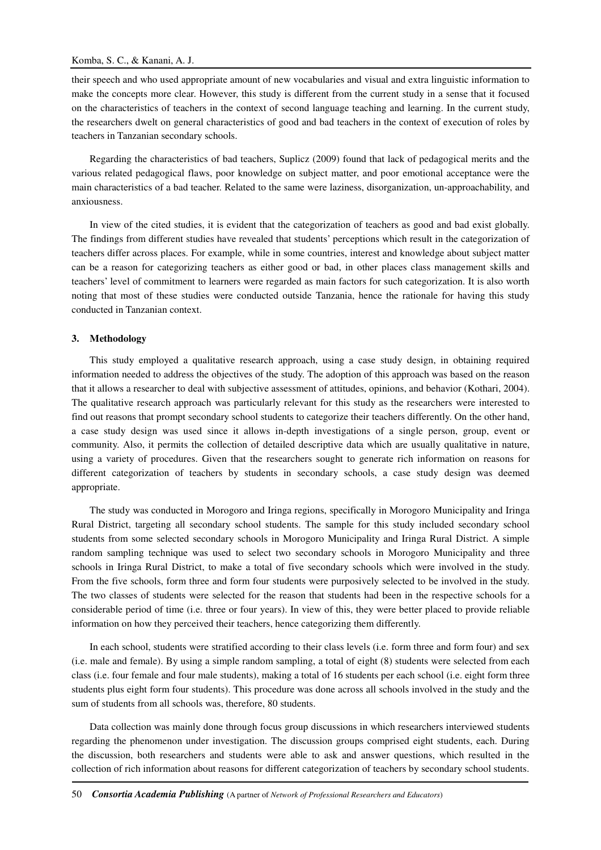their speech and who used appropriate amount of new vocabularies and visual and extra linguistic information to make the concepts more clear. However, this study is different from the current study in a sense that it focused on the characteristics of teachers in the context of second language teaching and learning. In the current study, the researchers dwelt on general characteristics of good and bad teachers in the context of execution of roles by teachers in Tanzanian secondary schools.

Regarding the characteristics of bad teachers, Suplicz (2009) found that lack of pedagogical merits and the various related pedagogical flaws, poor knowledge on subject matter, and poor emotional acceptance were the main characteristics of a bad teacher. Related to the same were laziness, disorganization, un-approachability, and anxiousness.

In view of the cited studies, it is evident that the categorization of teachers as good and bad exist globally. The findings from different studies have revealed that students' perceptions which result in the categorization of teachers differ across places. For example, while in some countries, interest and knowledge about subject matter can be a reason for categorizing teachers as either good or bad, in other places class management skills and teachers' level of commitment to learners were regarded as main factors for such categorization. It is also worth noting that most of these studies were conducted outside Tanzania, hence the rationale for having this study conducted in Tanzanian context.

#### **3. Methodology**

This study employed a qualitative research approach, using a case study design, in obtaining required information needed to address the objectives of the study. The adoption of this approach was based on the reason that it allows a researcher to deal with subjective assessment of attitudes, opinions, and behavior (Kothari, 2004). The qualitative research approach was particularly relevant for this study as the researchers were interested to find out reasons that prompt secondary school students to categorize their teachers differently. On the other hand, a case study design was used since it allows in-depth investigations of a single person, group, event or community. Also, it permits the collection of detailed descriptive data which are usually qualitative in nature, using a variety of procedures. Given that the researchers sought to generate rich information on reasons for different categorization of teachers by students in secondary schools, a case study design was deemed appropriate.

The study was conducted in Morogoro and Iringa regions, specifically in Morogoro Municipality and Iringa Rural District, targeting all secondary school students. The sample for this study included secondary school students from some selected secondary schools in Morogoro Municipality and Iringa Rural District. A simple random sampling technique was used to select two secondary schools in Morogoro Municipality and three schools in Iringa Rural District, to make a total of five secondary schools which were involved in the study. From the five schools, form three and form four students were purposively selected to be involved in the study. The two classes of students were selected for the reason that students had been in the respective schools for a considerable period of time (i.e. three or four years). In view of this, they were better placed to provide reliable information on how they perceived their teachers, hence categorizing them differently.

In each school, students were stratified according to their class levels (i.e. form three and form four) and sex (i.e. male and female). By using a simple random sampling, a total of eight (8) students were selected from each class (i.e. four female and four male students), making a total of 16 students per each school (i.e. eight form three students plus eight form four students). This procedure was done across all schools involved in the study and the sum of students from all schools was, therefore, 80 students.

Data collection was mainly done through focus group discussions in which researchers interviewed students regarding the phenomenon under investigation. The discussion groups comprised eight students, each. During the discussion, both researchers and students were able to ask and answer questions, which resulted in the collection of rich information about reasons for different categorization of teachers by secondary school students.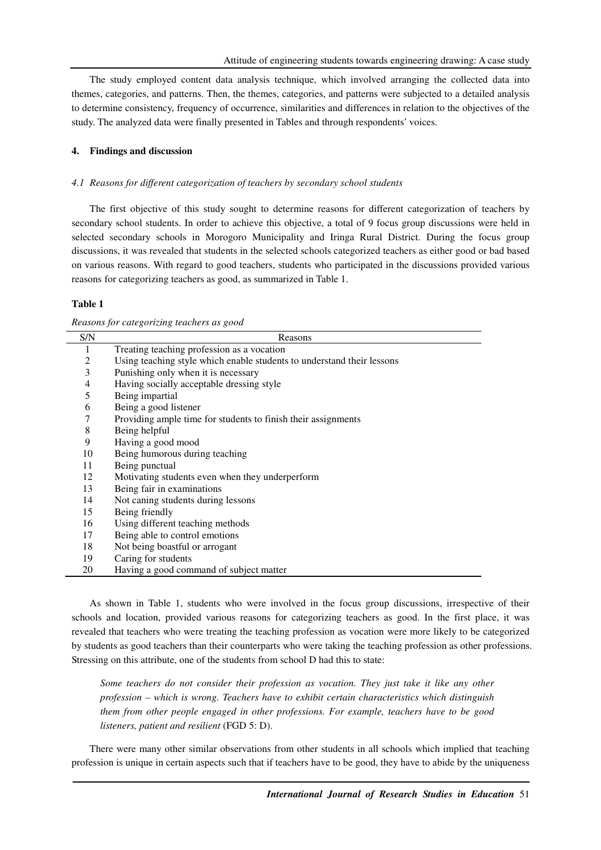The study employed content data analysis technique, which involved arranging the collected data into themes, categories, and patterns. Then, the themes, categories, and patterns were subjected to a detailed analysis to determine consistency, frequency of occurrence, similarities and differences in relation to the objectives of the study. The analyzed data were finally presented in Tables and through respondents' voices.

# **4. Findings and discussion**

# *4.1 Reasons for different categorization of teachers by secondary school students*

The first objective of this study sought to determine reasons for different categorization of teachers by secondary school students. In order to achieve this objective, a total of 9 focus group discussions were held in selected secondary schools in Morogoro Municipality and Iringa Rural District. During the focus group discussions, it was revealed that students in the selected schools categorized teachers as either good or bad based on various reasons. With regard to good teachers, students who participated in the discussions provided various reasons for categorizing teachers as good, as summarized in Table 1.

## **Table 1**

| Reasons for categorizing teachers as good |  |
|-------------------------------------------|--|
|                                           |  |

| S/N | Reasons                                                                |
|-----|------------------------------------------------------------------------|
| 1   | Treating teaching profession as a vocation                             |
| 2   | Using teaching style which enable students to understand their lessons |
| 3   | Punishing only when it is necessary                                    |
| 4   | Having socially acceptable dressing style                              |
| 5   | Being impartial                                                        |
| 6   | Being a good listener                                                  |
| 7   | Providing ample time for students to finish their assignments          |
| 8   | Being helpful                                                          |
| 9   | Having a good mood                                                     |
| 10  | Being humorous during teaching                                         |
| 11  | Being punctual                                                         |
| 12  | Motivating students even when they underperform                        |
| 13  | Being fair in examinations                                             |
| 14  | Not caning students during lessons                                     |
| 15  | Being friendly                                                         |
| 16  | Using different teaching methods                                       |
| 17  | Being able to control emotions                                         |
| 18  | Not being boastful or arrogant                                         |
| 19  | Caring for students                                                    |
| 20  | Having a good command of subject matter                                |

As shown in Table 1, students who were involved in the focus group discussions, irrespective of their schools and location, provided various reasons for categorizing teachers as good. In the first place, it was revealed that teachers who were treating the teaching profession as vocation were more likely to be categorized by students as good teachers than their counterparts who were taking the teaching profession as other professions. Stressing on this attribute, one of the students from school D had this to state:

*Some teachers do not consider their profession as vocation. They just take it like any other profession – which is wrong. Teachers have to exhibit certain characteristics which distinguish them from other people engaged in other professions. For example, teachers have to be good listeners, patient and resilient* (FGD 5: D).

There were many other similar observations from other students in all schools which implied that teaching profession is unique in certain aspects such that if teachers have to be good, they have to abide by the uniqueness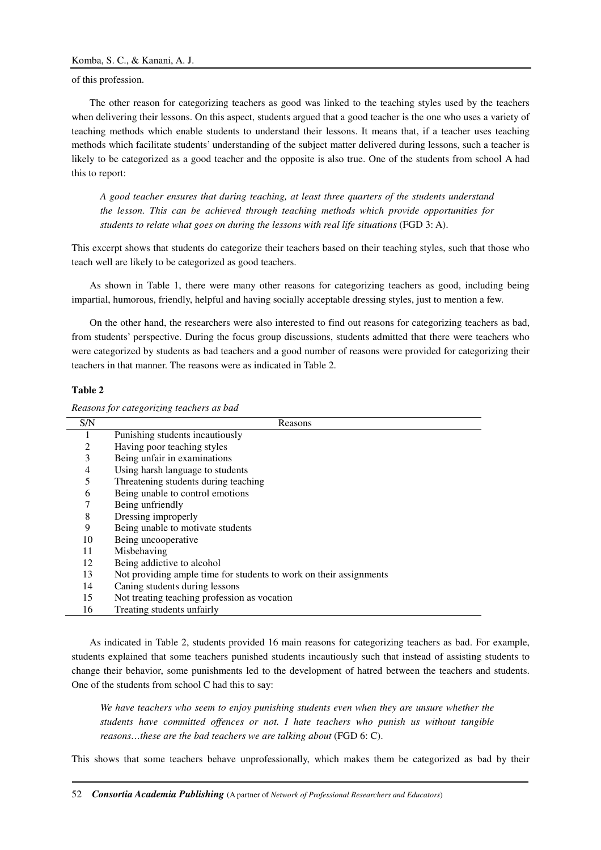of this profession.

The other reason for categorizing teachers as good was linked to the teaching styles used by the teachers when delivering their lessons. On this aspect, students argued that a good teacher is the one who uses a variety of teaching methods which enable students to understand their lessons. It means that, if a teacher uses teaching methods which facilitate students' understanding of the subject matter delivered during lessons, such a teacher is likely to be categorized as a good teacher and the opposite is also true. One of the students from school A had this to report:

*A good teacher ensures that during teaching, at least three quarters of the students understand the lesson. This can be achieved through teaching methods which provide opportunities for students to relate what goes on during the lessons with real life situations* (FGD 3: A).

This excerpt shows that students do categorize their teachers based on their teaching styles, such that those who teach well are likely to be categorized as good teachers.

As shown in Table 1, there were many other reasons for categorizing teachers as good, including being impartial, humorous, friendly, helpful and having socially acceptable dressing styles, just to mention a few.

On the other hand, the researchers were also interested to find out reasons for categorizing teachers as bad, from students' perspective. During the focus group discussions, students admitted that there were teachers who were categorized by students as bad teachers and a good number of reasons were provided for categorizing their teachers in that manner. The reasons were as indicated in Table 2.

#### **Table 2**

*Reasons for categorizing teachers as bad* 

| S/N | Reasons                                                            |
|-----|--------------------------------------------------------------------|
|     | Punishing students incautiously                                    |
| 2   | Having poor teaching styles                                        |
| 3   | Being unfair in examinations                                       |
| 4   | Using harsh language to students                                   |
| 5   | Threatening students during teaching                               |
| 6   | Being unable to control emotions                                   |
|     | Being unfriendly                                                   |
| 8   | Dressing improperly                                                |
| 9   | Being unable to motivate students                                  |
| 10  | Being uncooperative                                                |
| 11  | Misbehaving                                                        |
| 12  | Being addictive to alcohol                                         |
| 13  | Not providing ample time for students to work on their assignments |
| 14  | Caning students during lessons                                     |
| 15  | Not treating teaching profession as vocation                       |
| 16  | Treating students unfairly                                         |

As indicated in Table 2, students provided 16 main reasons for categorizing teachers as bad. For example, students explained that some teachers punished students incautiously such that instead of assisting students to change their behavior, some punishments led to the development of hatred between the teachers and students. One of the students from school C had this to say:

*We have teachers who seem to enjoy punishing students even when they are unsure whether the students have committed offences or not. I hate teachers who punish us without tangible reasons…these are the bad teachers we are talking about* (FGD 6: C).

This shows that some teachers behave unprofessionally, which makes them be categorized as bad by their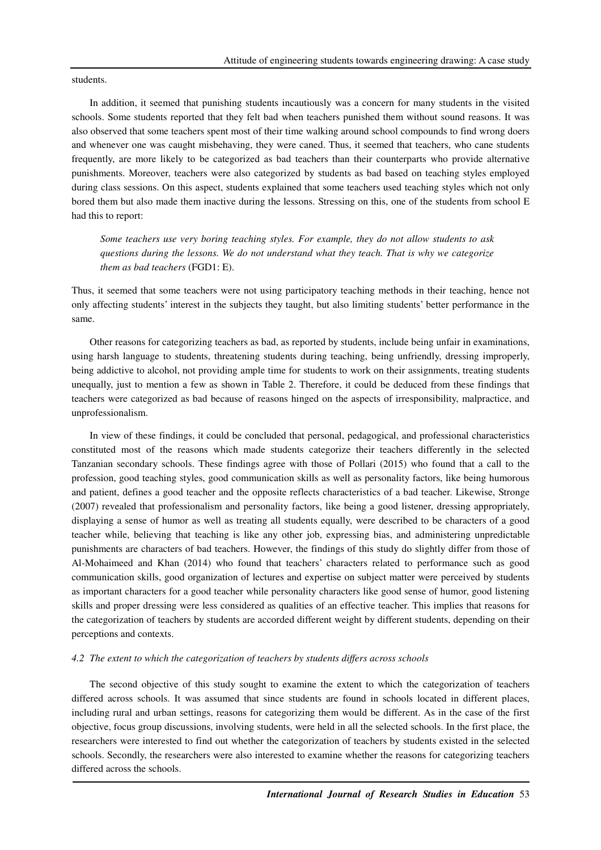students.

In addition, it seemed that punishing students incautiously was a concern for many students in the visited schools. Some students reported that they felt bad when teachers punished them without sound reasons. It was also observed that some teachers spent most of their time walking around school compounds to find wrong doers and whenever one was caught misbehaving, they were caned. Thus, it seemed that teachers, who cane students frequently, are more likely to be categorized as bad teachers than their counterparts who provide alternative punishments. Moreover, teachers were also categorized by students as bad based on teaching styles employed during class sessions. On this aspect, students explained that some teachers used teaching styles which not only bored them but also made them inactive during the lessons. Stressing on this, one of the students from school E had this to report:

*Some teachers use very boring teaching styles. For example, they do not allow students to ask questions during the lessons. We do not understand what they teach. That is why we categorize them as bad teachers* (FGD1: E).

Thus, it seemed that some teachers were not using participatory teaching methods in their teaching, hence not only affecting students' interest in the subjects they taught, but also limiting students' better performance in the same.

Other reasons for categorizing teachers as bad, as reported by students, include being unfair in examinations, using harsh language to students, threatening students during teaching, being unfriendly, dressing improperly, being addictive to alcohol, not providing ample time for students to work on their assignments, treating students unequally, just to mention a few as shown in Table 2. Therefore, it could be deduced from these findings that teachers were categorized as bad because of reasons hinged on the aspects of irresponsibility, malpractice, and unprofessionalism.

In view of these findings, it could be concluded that personal, pedagogical, and professional characteristics constituted most of the reasons which made students categorize their teachers differently in the selected Tanzanian secondary schools. These findings agree with those of Pollari (2015) who found that a call to the profession, good teaching styles, good communication skills as well as personality factors, like being humorous and patient, defines a good teacher and the opposite reflects characteristics of a bad teacher. Likewise, Stronge (2007) revealed that professionalism and personality factors, like being a good listener, dressing appropriately, displaying a sense of humor as well as treating all students equally, were described to be characters of a good teacher while, believing that teaching is like any other job, expressing bias, and administering unpredictable punishments are characters of bad teachers. However, the findings of this study do slightly differ from those of Al-Mohaimeed and Khan (2014) who found that teachers' characters related to performance such as good communication skills, good organization of lectures and expertise on subject matter were perceived by students as important characters for a good teacher while personality characters like good sense of humor, good listening skills and proper dressing were less considered as qualities of an effective teacher. This implies that reasons for the categorization of teachers by students are accorded different weight by different students, depending on their perceptions and contexts.

## *4.2 The extent to which the categorization of teachers by students differs across schools*

The second objective of this study sought to examine the extent to which the categorization of teachers differed across schools. It was assumed that since students are found in schools located in different places, including rural and urban settings, reasons for categorizing them would be different. As in the case of the first objective, focus group discussions, involving students, were held in all the selected schools. In the first place, the researchers were interested to find out whether the categorization of teachers by students existed in the selected schools. Secondly, the researchers were also interested to examine whether the reasons for categorizing teachers differed across the schools.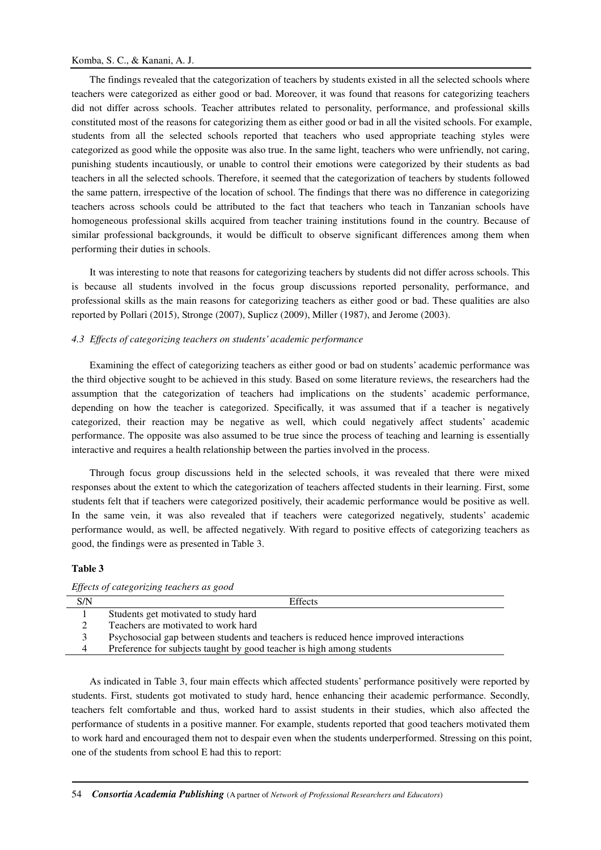### Komba, S. C., & Kanani, A. J.

The findings revealed that the categorization of teachers by students existed in all the selected schools where teachers were categorized as either good or bad. Moreover, it was found that reasons for categorizing teachers did not differ across schools. Teacher attributes related to personality, performance, and professional skills constituted most of the reasons for categorizing them as either good or bad in all the visited schools. For example, students from all the selected schools reported that teachers who used appropriate teaching styles were categorized as good while the opposite was also true. In the same light, teachers who were unfriendly, not caring, punishing students incautiously, or unable to control their emotions were categorized by their students as bad teachers in all the selected schools. Therefore, it seemed that the categorization of teachers by students followed the same pattern, irrespective of the location of school. The findings that there was no difference in categorizing teachers across schools could be attributed to the fact that teachers who teach in Tanzanian schools have homogeneous professional skills acquired from teacher training institutions found in the country. Because of similar professional backgrounds, it would be difficult to observe significant differences among them when performing their duties in schools.

It was interesting to note that reasons for categorizing teachers by students did not differ across schools. This is because all students involved in the focus group discussions reported personality, performance, and professional skills as the main reasons for categorizing teachers as either good or bad. These qualities are also reported by Pollari (2015), Stronge (2007), Suplicz (2009), Miller (1987), and Jerome (2003).

### *4.3 Effects of categorizing teachers on students' academic performance*

Examining the effect of categorizing teachers as either good or bad on students' academic performance was the third objective sought to be achieved in this study. Based on some literature reviews, the researchers had the assumption that the categorization of teachers had implications on the students' academic performance, depending on how the teacher is categorized. Specifically, it was assumed that if a teacher is negatively categorized, their reaction may be negative as well, which could negatively affect students' academic performance. The opposite was also assumed to be true since the process of teaching and learning is essentially interactive and requires a health relationship between the parties involved in the process.

Through focus group discussions held in the selected schools, it was revealed that there were mixed responses about the extent to which the categorization of teachers affected students in their learning. First, some students felt that if teachers were categorized positively, their academic performance would be positive as well. In the same vein, it was also revealed that if teachers were categorized negatively, students' academic performance would, as well, be affected negatively. With regard to positive effects of categorizing teachers as good, the findings were as presented in Table 3.

#### **Table 3**

| Liftens of calegorizing teachers as good |                                                                                       |  |
|------------------------------------------|---------------------------------------------------------------------------------------|--|
| S/N                                      | <b>Effects</b>                                                                        |  |
|                                          | Students get motivated to study hard                                                  |  |
|                                          | Teachers are motivated to work hard                                                   |  |
|                                          | Psychosocial gap between students and teachers is reduced hence improved interactions |  |
| 4                                        | Preference for subjects taught by good teacher is high among students                 |  |
|                                          |                                                                                       |  |

*Effects of categorizing teachers as good* 

As indicated in Table 3, four main effects which affected students' performance positively were reported by students. First, students got motivated to study hard, hence enhancing their academic performance. Secondly, teachers felt comfortable and thus, worked hard to assist students in their studies, which also affected the performance of students in a positive manner. For example, students reported that good teachers motivated them to work hard and encouraged them not to despair even when the students underperformed. Stressing on this point, one of the students from school E had this to report: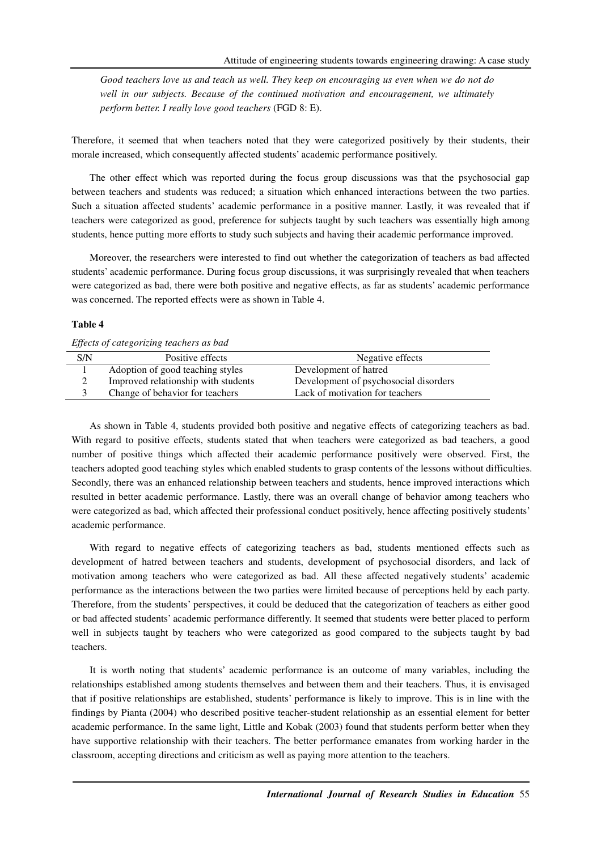Good teachers love us and teach us well. They keep on encouraging us even when we do not do well in our subjects. Because of the continued motivation and encouragement, we ultimately *perform better. I really love good teachers* (FGD 8: E).

Therefore, it seemed that when teachers noted that they were categorized positively by their students, their morale increased, which consequently affected students' academic performance positively.

The other effect which was reported during the focus group discussions was that the psychosocial gap between teachers and students was reduced; a situation which enhanced interactions between the two parties. Such a situation affected students' academic performance in a positive manner. Lastly, it was revealed that if teachers were categorized as good, preference for subjects taught by such teachers was essentially high among students, hence putting more efforts to study such subjects and having their academic performance improved.

Moreover, the researchers were interested to find out whether the categorization of teachers as bad affected students' academic performance. During focus group discussions, it was surprisingly revealed that when teachers were categorized as bad, there were both positive and negative effects, as far as students' academic performance was concerned. The reported effects were as shown in Table 4.

## **Table 4**

| Liftens of calegorizing teachers as baa |                                     |                                       |  |  |
|-----------------------------------------|-------------------------------------|---------------------------------------|--|--|
| S/N                                     | Positive effects                    | Negative effects                      |  |  |
|                                         | Adoption of good teaching styles    | Development of hatred                 |  |  |
|                                         | Improved relationship with students | Development of psychosocial disorders |  |  |
|                                         | Change of behavior for teachers     | Lack of motivation for teachers       |  |  |

*Effects of categorizing teachers as bad* 

As shown in Table 4, students provided both positive and negative effects of categorizing teachers as bad. With regard to positive effects, students stated that when teachers were categorized as bad teachers, a good number of positive things which affected their academic performance positively were observed. First, the teachers adopted good teaching styles which enabled students to grasp contents of the lessons without difficulties. Secondly, there was an enhanced relationship between teachers and students, hence improved interactions which resulted in better academic performance. Lastly, there was an overall change of behavior among teachers who were categorized as bad, which affected their professional conduct positively, hence affecting positively students' academic performance.

With regard to negative effects of categorizing teachers as bad, students mentioned effects such as development of hatred between teachers and students, development of psychosocial disorders, and lack of motivation among teachers who were categorized as bad. All these affected negatively students' academic performance as the interactions between the two parties were limited because of perceptions held by each party. Therefore, from the students' perspectives, it could be deduced that the categorization of teachers as either good or bad affected students' academic performance differently. It seemed that students were better placed to perform well in subjects taught by teachers who were categorized as good compared to the subjects taught by bad teachers.

It is worth noting that students' academic performance is an outcome of many variables, including the relationships established among students themselves and between them and their teachers. Thus, it is envisaged that if positive relationships are established, students' performance is likely to improve. This is in line with the findings by Pianta (2004) who described positive teacher-student relationship as an essential element for better academic performance. In the same light, Little and Kobak (2003) found that students perform better when they have supportive relationship with their teachers. The better performance emanates from working harder in the classroom, accepting directions and criticism as well as paying more attention to the teachers.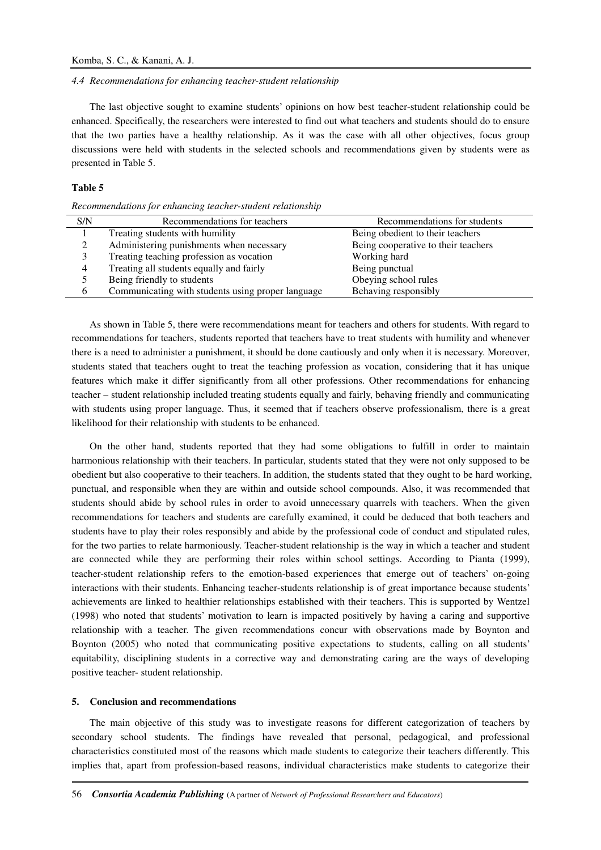#### *4.4 Recommendations for enhancing teacher-student relationship*

The last objective sought to examine students' opinions on how best teacher-student relationship could be enhanced. Specifically, the researchers were interested to find out what teachers and students should do to ensure that the two parties have a healthy relationship. As it was the case with all other objectives, focus group discussions were held with students in the selected schools and recommendations given by students were as presented in Table 5.

## **Table 5**

*Recommendations for enhancing teacher-student relationship* 

| S/N | Recommendations for teachers                      | Recommendations for students        |
|-----|---------------------------------------------------|-------------------------------------|
|     | Treating students with humility                   | Being obedient to their teachers    |
| ∍   | Administering punishments when necessary          | Being cooperative to their teachers |
|     | Treating teaching profession as vocation          | Working hard                        |
| 4   | Treating all students equally and fairly          | Being punctual                      |
|     | Being friendly to students                        | Obeying school rules                |
| 6   | Communicating with students using proper language | Behaving responsibly                |
|     |                                                   |                                     |

As shown in Table 5, there were recommendations meant for teachers and others for students. With regard to recommendations for teachers, students reported that teachers have to treat students with humility and whenever there is a need to administer a punishment, it should be done cautiously and only when it is necessary. Moreover, students stated that teachers ought to treat the teaching profession as vocation, considering that it has unique features which make it differ significantly from all other professions. Other recommendations for enhancing teacher – student relationship included treating students equally and fairly, behaving friendly and communicating with students using proper language. Thus, it seemed that if teachers observe professionalism, there is a great likelihood for their relationship with students to be enhanced.

On the other hand, students reported that they had some obligations to fulfill in order to maintain harmonious relationship with their teachers. In particular, students stated that they were not only supposed to be obedient but also cooperative to their teachers. In addition, the students stated that they ought to be hard working, punctual, and responsible when they are within and outside school compounds. Also, it was recommended that students should abide by school rules in order to avoid unnecessary quarrels with teachers. When the given recommendations for teachers and students are carefully examined, it could be deduced that both teachers and students have to play their roles responsibly and abide by the professional code of conduct and stipulated rules, for the two parties to relate harmoniously. Teacher-student relationship is the way in which a teacher and student are connected while they are performing their roles within school settings. According to Pianta (1999), teacher-student relationship refers to the emotion-based experiences that emerge out of teachers' on-going interactions with their students. Enhancing teacher-students relationship is of great importance because students' achievements are linked to healthier relationships established with their teachers. This is supported by Wentzel (1998) who noted that students' motivation to learn is impacted positively by having a caring and supportive relationship with a teacher. The given recommendations concur with observations made by Boynton and Boynton (2005) who noted that communicating positive expectations to students, calling on all students' equitability, disciplining students in a corrective way and demonstrating caring are the ways of developing positive teacher- student relationship.

## **5. Conclusion and recommendations**

The main objective of this study was to investigate reasons for different categorization of teachers by secondary school students. The findings have revealed that personal, pedagogical, and professional characteristics constituted most of the reasons which made students to categorize their teachers differently. This implies that, apart from profession-based reasons, individual characteristics make students to categorize their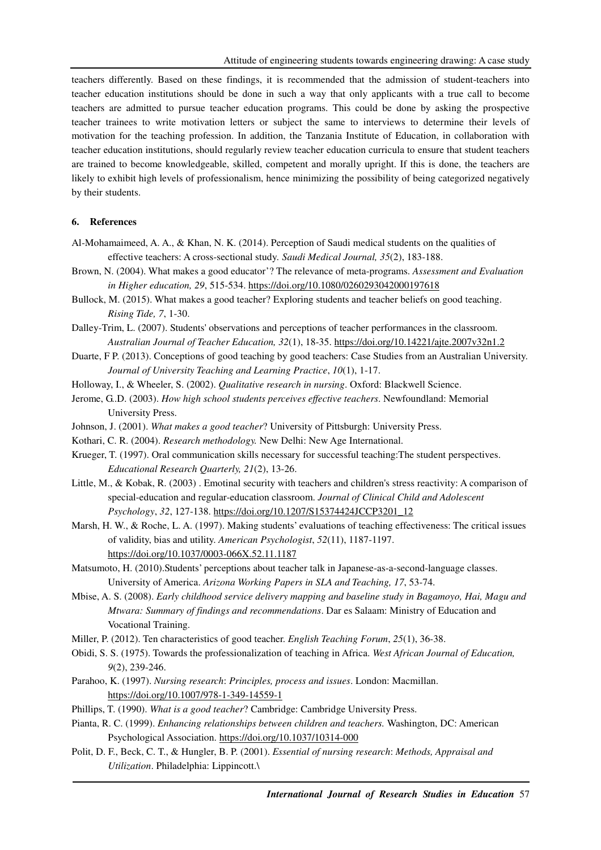teachers differently. Based on these findings, it is recommended that the admission of student-teachers into teacher education institutions should be done in such a way that only applicants with a true call to become teachers are admitted to pursue teacher education programs. This could be done by asking the prospective teacher trainees to write motivation letters or subject the same to interviews to determine their levels of motivation for the teaching profession. In addition, the Tanzania Institute of Education, in collaboration with teacher education institutions, should regularly review teacher education curricula to ensure that student teachers are trained to become knowledgeable, skilled, competent and morally upright. If this is done, the teachers are likely to exhibit high levels of professionalism, hence minimizing the possibility of being categorized negatively by their students.

### **6. References**

- Al-Mohamaimeed, A. A., & Khan, N. K. (2014). Perception of Saudi medical students on the qualities of effective teachers: A cross-sectional study*. Saudi Medical Journal, 35*(2), 183-188.
- Brown, N. (2004). What makes a good educator'? The relevance of meta-programs. *Assessment and Evaluation in Higher education, 29*, 515-534. https://doi.org/10.1080/0260293042000197618
- Bullock, M. (2015). What makes a good teacher? Exploring students and teacher beliefs on good teaching. *Rising Tide, 7*, 1-30.
- Dalley-Trim, L. (2007). Students' observations and perceptions of teacher performances in the classroom. *Australian Journal of Teacher Education, 32*(1), 18-35. https://doi.org/10.14221/ajte.2007v32n1.2
- Duarte, F P. (2013). Conceptions of good teaching by good teachers: Case Studies from an Australian University. *Journal of University Teaching and Learning Practice*, *10*(1), 1-17.
- Holloway, I., & Wheeler, S. (2002). *Qualitative research in nursing*. Oxford: Blackwell Science.
- Jerome, G..D. (2003). *How high school students perceives effective teachers*. Newfoundland: Memorial University Press.
- Johnson, J. (2001). *What makes a good teacher*? University of Pittsburgh: University Press.
- Kothari, C. R. (2004). *Research methodology.* New Delhi: New Age International.
- Krueger, T. (1997). Oral communication skills necessary for successful teaching:The student perspectives. *Educational Research Quarterly, 21*(2), 13-26.
- Little, M., & Kobak, R. (2003) . Emotinal security with teachers and children's stress reactivity: A comparison of special-education and regular-education classroom. *Journal of Clinical Child and Adolescent Psychology*, *32*, 127-138. https://doi.org/10.1207/S15374424JCCP3201\_12
- Marsh, H. W., & Roche, L. A. (1997). Making students' evaluations of teaching effectiveness: The critical issues of validity, bias and utility. *American Psychologist*, *52*(11), 1187-1197. https://doi.org/10.1037/0003-066X.52.11.1187
- Matsumoto, H. (2010).Students' perceptions about teacher talk in Japanese-as-a-second-language classes. University of America. *Arizona Working Papers in SLA and Teaching, 17*, 53-74.
- Mbise, A. S. (2008). *Early childhood service delivery mapping and baseline study in Bagamoyo, Hai, Magu and Mtwara: Summary of findings and recommendations*. Dar es Salaam: Ministry of Education and Vocational Training.
- Miller, P. (2012). Ten characteristics of good teacher. *English Teaching Forum*, *25*(1), 36-38.
- Obidi, S. S. (1975). Towards the professionalization of teaching in Africa. *West African Journal of Education, 9*(2), 239-246.
- Parahoo, K. (1997). *Nursing research*: *Principles, process and issues*. London: Macmillan. https://doi.org/10.1007/978-1-349-14559-1
- Phillips, T. (1990). *What is a good teacher*? Cambridge: Cambridge University Press.
- Pianta, R. C. (1999). *Enhancing relationships between children and teachers.* Washington, DC: American Psychological Association. https://doi.org/10.1037/10314-000
- Polit, D. F., Beck, C. T., & Hungler, B. P. (2001). *Essential of nursing research*: *Methods, Appraisal and Utilization*. Philadelphia: Lippincott.\